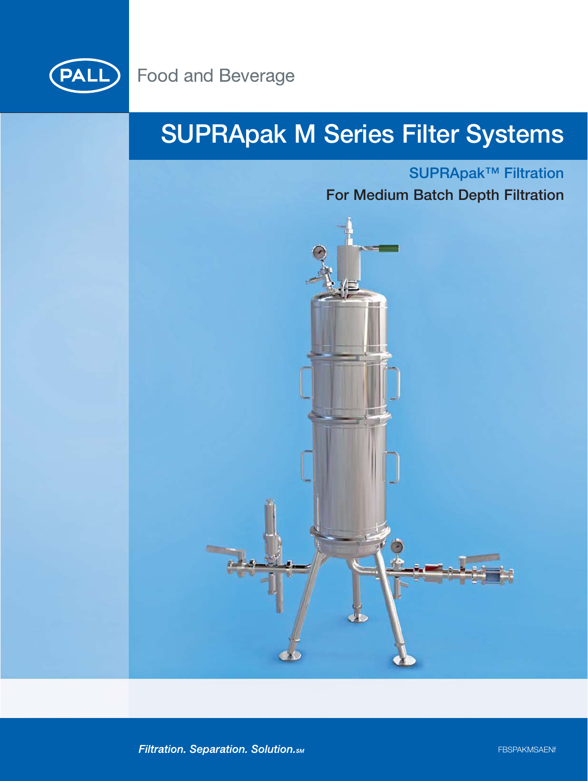

## **SUPRApak M Series Filter Systems**

### **SUPRApak™ Filtration For Medium Batch Depth Filtration**



Filtration. Separation. Solution. SM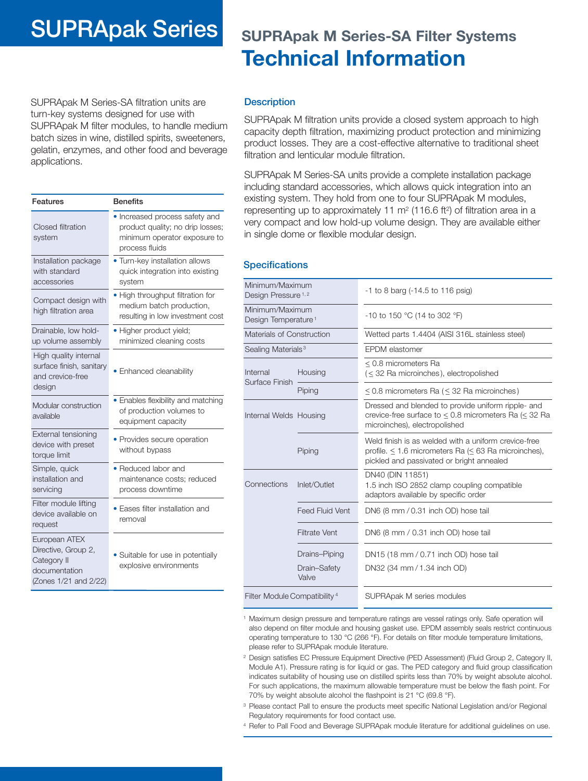### **SUPRApak Series SUPRApak M Series-SA Filter Systems**

# **Technical Information**

SUPRApak M Series-SA filtration units are turn-key systems designed for use with SUPRApak M filter modules, to handle medium batch sizes in wine, distilled spirits, sweeteners, gelatin, enzymes, and other food and beverage applications.

| Features                                                                                      | <b>Benefits</b>                                                                                                      |
|-----------------------------------------------------------------------------------------------|----------------------------------------------------------------------------------------------------------------------|
| Closed filtration<br>system                                                                   | • Increased process safety and<br>product quality; no drip losses;<br>minimum operator exposure to<br>process fluids |
| Installation package<br>with standard<br>accessories                                          | • Turn-key installation allows<br>quick integration into existing<br>system                                          |
| Compact design with<br>high filtration area                                                   | • High throughput filtration for<br>medium batch production,<br>resulting in low investment cost                     |
| Drainable, low hold-<br>up volume assembly                                                    | • Higher product yield;<br>minimized cleaning costs                                                                  |
| High quality internal<br>surface finish, sanitary<br>and crevice-free<br>design               | • Enhanced cleanability                                                                                              |
| Modular construction<br>available                                                             | • Enables flexibility and matching<br>of production volumes to<br>equipment capacity                                 |
| External tensioning<br>device with preset<br>torque limit                                     | • Provides secure operation<br>without bypass                                                                        |
| Simple, quick<br>installation and<br>servicing                                                | • Reduced labor and<br>maintenance costs; reduced<br>process downtime                                                |
| Filter module lifting<br>device available on<br>request                                       | • Eases filter installation and<br>removal                                                                           |
| European ATEX<br>Directive, Group 2,<br>Category II<br>documentation<br>(Zones 1/21 and 2/22) | • Suitable for use in potentially<br>explosive environments                                                          |

#### **Description**

SUPRApak M filtration units provide a closed system approach to high capacity depth filtration, maximizing product protection and minimizing product losses. They are a cost-effective alternative to traditional sheet filtration and lenticular module filtration.

SUPRApak M Series-SA units provide a complete installation package including standard accessories, which allows quick integration into an existing system. They hold from one to four SUPRApak M modules, representing up to approximately 11  $m<sup>2</sup>$  (116.6 ft<sup>2</sup>) of filtration area in a very compact and low hold-up volume design. They are available either in single dome or flexible modular design.

#### **Specifications**

| Minimum/Maximum<br>Design Pressure <sup>1,2</sup>  |                        | $-1$ to 8 barg ( $-14.5$ to 116 psig)                                                                                                                     |  |
|----------------------------------------------------|------------------------|-----------------------------------------------------------------------------------------------------------------------------------------------------------|--|
| Minimum/Maximum<br>Design Temperature <sup>1</sup> |                        | -10 to 150 °C (14 to 302 °F)                                                                                                                              |  |
| Materials of Construction                          |                        | Wetted parts 1.4404 (AISI 316L stainless steel)                                                                                                           |  |
| Sealing Materials <sup>3</sup>                     |                        | EPDM elastomer                                                                                                                                            |  |
| Internal<br>Surface Finish                         | Housing                | < 0.8 micrometers Ra<br>$(52 Ra microinches), electropolished$                                                                                            |  |
|                                                    | Piping                 | < 0.8 micrometers Ra (< 32 Ra microinches)                                                                                                                |  |
| Internal Welds Housing                             |                        | Dressed and blended to provide uniform ripple- and<br>crevice-free surface to $\leq$ 0.8 micrometers Ra ( $\leq$ 32 Ra<br>microinches), electropolished   |  |
|                                                    | Piping                 | Weld finish is as welded with a uniform crevice-free<br>profile. ≤ 1.6 micrometers Ra (≤ 63 Ra microinches),<br>pickled and passivated or bright annealed |  |
| Connections                                        | Inlet/Outlet           | DN40 (DIN 11851)<br>1.5 inch ISO 2852 clamp coupling compatible<br>adaptors available by specific order                                                   |  |
|                                                    | <b>Feed Fluid Vent</b> | DN6 (8 mm / 0.31 inch OD) hose tail                                                                                                                       |  |
|                                                    | <b>Filtrate Vent</b>   | DN6 (8 mm / 0.31 inch OD) hose tail                                                                                                                       |  |
|                                                    | Drains-Piping          | DN15 (18 mm / 0.71 inch OD) hose tail                                                                                                                     |  |
|                                                    | Drain-Safety<br>Valve  | DN32 (34 mm / 1.34 inch OD)                                                                                                                               |  |
| Filter Module Compatibility <sup>4</sup>           |                        | SUPRApak M series modules                                                                                                                                 |  |

<sup>1</sup> Maximum design pressure and temperature ratings are vessel ratings only. Safe operation will also depend on filter module and housing gasket use. EPDM assembly seals restrict continuous operating temperature to 130 °C (266 °F). For details on filter module temperature limitations, please refer to SUPRApak module literature.

- <sup>2</sup> Design satisfies EC Pressure Equipment Directive (PED Assessment) (Fluid Group 2, Category II, Module A1). Pressure rating is for liquid or gas. The PED category and fluid group classification indicates suitability of housing use on distilled spirits less than 70% by weight absolute alcohol. For such applications, the maximum allowable temperature must be below the flash point. For 70% by weight absolute alcohol the flashpoint is 21 °C (69.8 °F).
- <sup>3</sup> Please contact Pall to ensure the products meet specific National Legislation and/or Regional Regulatory requirements for food contact use.
- <sup>4</sup> Refer to Pall Food and Beverage SUPRApak module literature for additional guidelines on use.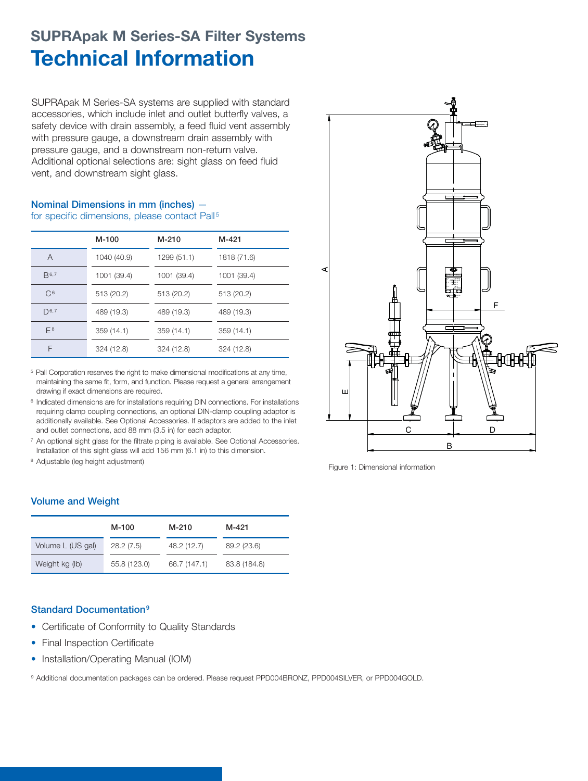### **SUPRApak M Series-SA Filter Systems Technical Information**

SUPRApak M Series-SA systems are supplied with standard accessories, which include inlet and outlet butterfly valves, a safety device with drain assembly, a feed fluid vent assembly with pressure gauge, a downstream drain assembly with pressure gauge, and a downstream non-return valve. Additional optional selections are: sight glass on feed fluid vent, and downstream sight glass.

#### **Nominal Dimensions in mm (inches)**  for specific dimensions, please contact Pall<sup>5</sup>

|                | M-100       | M-210       | M-421       |
|----------------|-------------|-------------|-------------|
| A              | 1040 (40.9) | 1299 (51.1) | 1818 (71.6) |
| $B^{6,7}$      | 1001 (39.4) | 1001 (39.4) | 1001 (39.4) |
| C <sup>6</sup> | 513 (20.2)  | 513 (20.2)  | 513 (20.2)  |
| $D^{6,7}$      | 489 (19.3)  | 489 (19.3)  | 489 (19.3)  |
| $F^8$          | 359(14.1)   | 359(14.1)   | 359(14.1)   |
| F              | 324 (12.8)  | 324 (12.8)  | 324 (12.8)  |

<sup>5</sup> Pall Corporation reserves the right to make dimensional modifications at any time, maintaining the same fit, form, and function. Please request a general arrangement drawing if exact dimensions are required.

<sup>6</sup> Indicated dimensions are for installations requiring DIN connections. For installations requiring clamp coupling connections, an optional DIN-clamp coupling adaptor is additionally available. See Optional Accessories. If adaptors are added to the inlet and outlet connections, add 88 mm (3.5 in) for each adaptor.

<sup>7</sup> An optional sight glass for the filtrate piping is available. See Optional Accessories. Installation of this sight glass will add 156 mm (6.1 in) to this dimension.

<sup>8</sup> Adjustable (leg height adjustment)





### **Volume and Weight**

|                   | M-100        | M-210        | M-421        |
|-------------------|--------------|--------------|--------------|
| Volume L (US gal) | 28.2(7.5)    | 48.2 (12.7)  | 89.2 (23.6)  |
| Weight kg (lb)    | 55.8 (123.0) | 66.7 (147.1) | 83.8 (184.8) |

### **Standard Documentation9**

- Certificate of Conformity to Quality Standards
- Final Inspection Certificate
- Installation/Operating Manual (IOM)

9 Additional documentation packages can be ordered. Please request PPD004BRONZ, PPD004SILVER, or PPD004GOLD.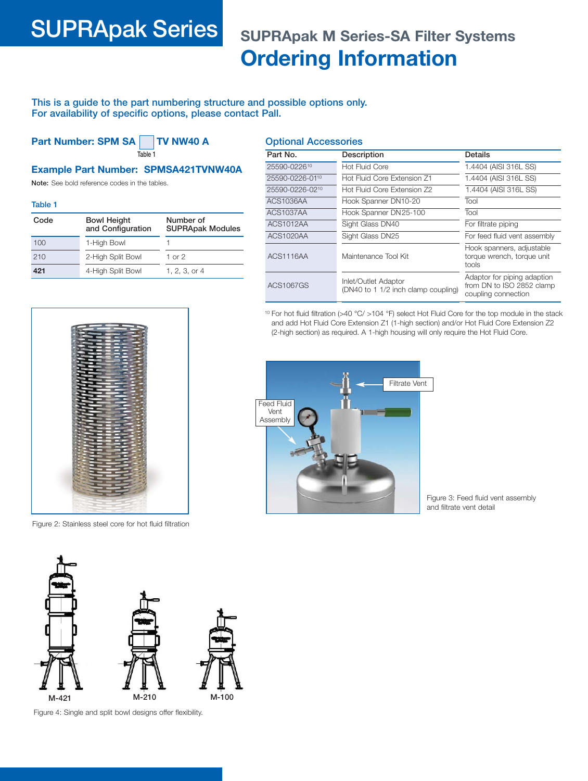### **SUPRApak Series SUPRApak M Series-SA Filter Systems Ordering Information**

**This is a guide to the part numbering structure and possible options only. For availability of specific options, please contact Pall.**

**Part Number: SPM SA TV NW40 A Table 1**

**Optional Accessories**

#### **Example Part Number: SPMSA421TVNW40A**

**Note:** See bold reference codes in the tables.

**Table 1**

| Code | <b>Bowl Height</b><br>and Configuration | Number of<br><b>SUPRApak Modules</b> |
|------|-----------------------------------------|--------------------------------------|
| 100  | 1-High Bowl                             |                                      |
| 210  | 2-High Split Bowl                       | 1 or $2$                             |
| 421  | 4-High Split Bowl                       | 1. 2. 3. or 4                        |

| Part No.                    | Description                                                 | Details                                                                         |
|-----------------------------|-------------------------------------------------------------|---------------------------------------------------------------------------------|
| 25590-022610                | Hot Fluid Core                                              | 1.4404 (AISI 316L SS)                                                           |
| 25590-0226-01 <sup>10</sup> | Hot Fluid Core Extension Z1                                 | 1.4404 (AISI 316L SS)                                                           |
| 25590-0226-0210             | Hot Fluid Core Extension Z2                                 | 1.4404 (AISI 316L SS)                                                           |
| ACS1036AA                   | Hook Spanner DN10-20                                        | Tool                                                                            |
| <b>ACS1037AA</b>            | Hook Spanner DN 25-100                                      | Tool                                                                            |
| ACS1012AA                   | Sight Glass DN40                                            | For filtrate piping                                                             |
| ACS1020AA                   | Sight Glass DN25                                            | For feed fluid vent assembly                                                    |
| ACS1116AA                   | Maintenance Tool Kit                                        | Hook spanners, adjustable<br>torque wrench, torque unit<br>tools                |
| ACS1067GS                   | Inlet/Outlet Adaptor<br>(DN40 to 1 1/2 inch clamp coupling) | Adaptor for piping adaption<br>from DN to ISO 2852 clamp<br>coupling connection |

<sup>10</sup> For hot fluid filtration (>40 °C/ >104 °F) select Hot Fluid Core for the top module in the stack and add Hot Fluid Core Extension Z1 (1-high section) and/or Hot Fluid Core Extension Z2 (2-high section) as required. A 1-high housing will only require the Hot Fluid Core.



Figure 3: Feed fluid vent assembly and filtrate vent detail



Figure 2: Stainless steel core for hot fluid filtration



Figure 4: Single and split bowl designs offer flexibility.